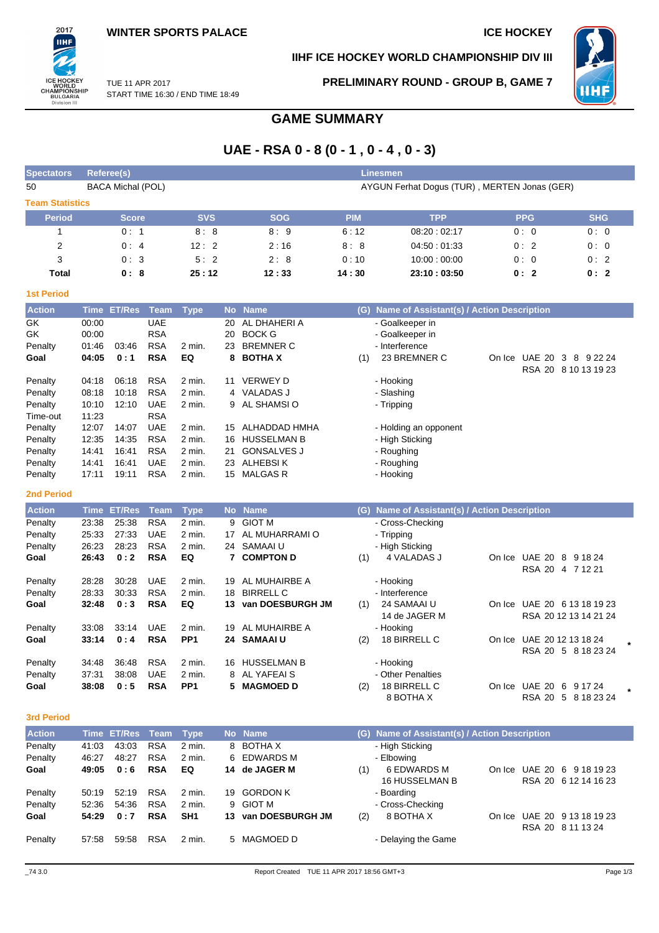

## **IIHF ICE HOCKEY WORLD CHAMPIONSHIP DIV III**



TUE 11 APR 2017 START TIME 16:30 / END TIME 18:49 **PRELIMINARY ROUND - GROUP B, GAME 7**

# **GAME SUMMARY**

# **UAE - RSA 0 - 8 (0 - 1 , 0 - 4 , 0 - 3)**

| <b>Spectators</b>      | Referee(s)               |            |            | <b>Linesmen</b> |                                              |            |            |
|------------------------|--------------------------|------------|------------|-----------------|----------------------------------------------|------------|------------|
| 50                     | <b>BACA Michal (POL)</b> |            |            |                 | AYGUN Ferhat Dogus (TUR), MERTEN Jonas (GER) |            |            |
| <b>Team Statistics</b> |                          |            |            |                 |                                              |            |            |
| <b>Period</b>          | <b>Score</b>             | <b>SVS</b> | <b>SOG</b> | <b>PIM</b>      | <b>TPP</b>                                   | <b>PPG</b> | <b>SHG</b> |
|                        | 0:1                      | 8:8        | 8:9        | 6:12            | 08:20:02:17                                  | 0:0        | 0:0        |
| 2                      | 0:4                      | 12:2       | 2:16       | 8:8             | 04:50:01:33                                  | 0:2        | 0:0        |
| 3                      | 0:3                      | 5:2        | 2:8        | 0:10            | 10:00:00:00                                  | 0:0        | 0:2        |
| Total                  | 0:8                      | 25:12      | 12:33      | 14:30           | 23:10:03:50                                  | 0:2        | 0:2        |
| <b>1st Period</b>      |                          |            |            |                 |                                              |            |            |

| <b>Action</b> |       | Time ET/Res | Team       | <b>Type</b> |     | No Name            | (G). | Name of Assistant(s) / Action Description |        |               |                      |
|---------------|-------|-------------|------------|-------------|-----|--------------------|------|-------------------------------------------|--------|---------------|----------------------|
| GK            | 00:00 |             | <b>UAE</b> |             | 20  | AL DHAHERI A       |      | - Goalkeeper in                           |        |               |                      |
| GK            | 00:00 |             | <b>RSA</b> |             | 20  | <b>BOCK G</b>      |      | - Goalkeeper in                           |        |               |                      |
| Penalty       | 01:46 | 03:46       | <b>RSA</b> | 2 min.      | 23  | <b>BREMNER C</b>   |      | - Interference                            |        |               |                      |
| Goal          | 04:05 | 0:1         | <b>RSA</b> | EQ          |     | 8 BOTHAX           | (1)  | 23 BREMNER C                              | On Ice | <b>UAE 20</b> | 3<br>8<br>9 22 24    |
|               |       |             |            |             |     |                    |      |                                           |        |               | RSA 20 8 10 13 19 23 |
| Penalty       | 04:18 | 06:18       | <b>RSA</b> | $2$ min.    | 11  | <b>VERWEY D</b>    |      | - Hooking                                 |        |               |                      |
| Penalty       | 08:18 | 10:18       | <b>RSA</b> | $2$ min.    |     | 4 VALADAS J        |      | - Slashing                                |        |               |                      |
| Penalty       | 10:10 | 12:10       | <b>UAE</b> | 2 min.      |     | 9 AL SHAMSIO       |      | - Tripping                                |        |               |                      |
| Time-out      | 11:23 |             | <b>RSA</b> |             |     |                    |      |                                           |        |               |                      |
| Penalty       | 12:07 | 14:07       | <b>UAE</b> | $2$ min.    | 15  | ALHADDAD HMHA      |      | - Holding an opponent                     |        |               |                      |
| Penalty       | 12:35 | 14:35       | <b>RSA</b> | 2 min.      | 16. | <b>HUSSELMAN B</b> |      | - High Sticking                           |        |               |                      |
| Penalty       | 14:41 | 16:41       | <b>RSA</b> | $2$ min.    | 21  | <b>GONSALVES J</b> |      | - Roughing                                |        |               |                      |
| Penalty       | 14:41 | 16:41       | <b>UAE</b> | 2 min.      | 23  | ALHEBSI K          |      | - Roughing                                |        |               |                      |
| Penalty       | 17:11 | 19:11       | <b>RSA</b> | 2 min.      | 15  | <b>MALGAS R</b>    |      | - Hooking                                 |        |               |                      |

#### **2nd Period**

| <b>Action</b> | Time  | <b>ET/Res</b> | <b>Team</b> | <b>Type</b>       |     | No Name            | (G) | Name of Assistant(s) / Action Description |        |                                   |                      |
|---------------|-------|---------------|-------------|-------------------|-----|--------------------|-----|-------------------------------------------|--------|-----------------------------------|----------------------|
| Penalty       | 23:38 | 25:38         | <b>RSA</b>  | 2 min.            |     | 9 GIOT M           |     | - Cross-Checking                          |        |                                   |                      |
| Penalty       | 25:33 | 27:33         | <b>UAE</b>  | 2 min.            | 17  | AL MUHARRAMI O     |     | - Tripping                                |        |                                   |                      |
| Penalty       | 26:23 | 28:23         | <b>RSA</b>  | $2 \text{ min}$ . |     | 24 SAMAAI U        |     | - High Sticking                           |        |                                   |                      |
| Goal          | 26:43 | 0:2           | <b>RSA</b>  | EQ                |     | <b>COMPTON D</b>   | (1) | 4 VALADAS J                               | On Ice | <b>UAE 20</b><br>8<br>9 18 24     |                      |
|               |       |               |             |                   |     |                    |     |                                           |        | <b>RSA 20</b><br>4 7 1 2 2 1      |                      |
| Penalty       | 28:28 | 30:28         | <b>UAE</b>  | 2 min.            | 19  | AL MUHAIRBE A      |     | - Hooking                                 |        |                                   |                      |
| Penalty       | 28:33 | 30:33         | <b>RSA</b>  | 2 min.            | 18  | <b>BIRRELL C</b>   |     | - Interference                            |        |                                   |                      |
| Goal          | 32:48 | 0:3           | <b>RSA</b>  | EQ                | 13. | van DOESBURGH JM   | (1) | 24 SAMAAI U                               | On Ice | UAE 20 6 13 18 19 23              |                      |
|               |       |               |             |                   |     |                    |     | 14 de JAGER M                             |        | RSA 2012 13 14 21 24              |                      |
| Penalty       | 33:08 | 33:14         | <b>UAE</b>  | $2$ min.          | 19  | AL MUHAIRBE A      |     | - Hooking                                 |        |                                   |                      |
| Goal          | 33:14 | 0:4           | <b>RSA</b>  | PP <sub>1</sub>   |     | 24 SAMAAIU         | (2) | 18 BIRRELL C                              | On Ice | UAE 20 12 13 18 24                | $\ddot{\phantom{0}}$ |
|               |       |               |             |                   |     |                    |     |                                           |        | RSA 20 5 8 18 23 24               |                      |
| Penalty       | 34:48 | 36:48         | <b>RSA</b>  | $2 \text{ min}$ . | 16  | <b>HUSSELMAN B</b> |     | - Hooking                                 |        |                                   |                      |
| Penalty       | 37:31 | 38:08         | <b>UAE</b>  | 2 min.            | 8   | AL YAFEAI S        |     | - Other Penalties                         |        |                                   |                      |
| Goal          | 38:08 | 0:5           | <b>RSA</b>  | PP <sub>1</sub>   | 5.  | <b>MAGMOED D</b>   | (2) | 18 BIRRELL C                              | On Ice | <b>UAE 20</b><br>6<br>9 17 24     | $\star$              |
|               |       |               |             |                   |     |                    |     | 8 BOTHA X                                 |        | <b>RSA 20</b><br>8 18 23 24<br>-5 |                      |

#### **3rd Period**

| <b>Action</b> |       | Time ET/Res Team |            | Type              |    | No Name          |     | (G) Name of Assistant(s) / Action Description |         |                            |
|---------------|-------|------------------|------------|-------------------|----|------------------|-----|-----------------------------------------------|---------|----------------------------|
| Penalty       | 41:03 | 43.03            | <b>RSA</b> | 2 min.            |    | 8 BOTHA X        |     | - High Sticking                               |         |                            |
| Penalty       | 46:27 | 48:27            | <b>RSA</b> | $2 \text{ min}$ . |    | 6 EDWARDS M      |     | - Elbowing                                    |         |                            |
| Goal          | 49:05 | 0:6              | <b>RSA</b> | EQ                | 14 | de JAGER M       | (1) | 6 EDWARDS M                                   |         | On Ice UAE 20 6 9 18 19 23 |
|               |       |                  |            |                   |    |                  |     | <b>16 HUSSELMAN B</b>                         |         | RSA 20 6 12 14 16 23       |
| Penalty       | 50:19 | 52:19            | <b>RSA</b> | $2 \text{ min}$ . | 19 | <b>GORDON K</b>  |     | - Boarding                                    |         |                            |
| Penalty       | 52:36 | 54:36            | <b>RSA</b> | 2 min.            |    | 9 GIOT M         |     | - Cross-Checking                              |         |                            |
| Goal          | 54:29 | 0:7              | <b>RSA</b> | SH <sub>1</sub>   | 13 | van DOESBURGH JM | (2) | 8 BOTHA X                                     | On Ice. | UAE 20 9 13 18 19 23       |
|               |       |                  |            |                   |    |                  |     |                                               |         | RSA 20 8 11 13 24          |
| Penalty       | 57:58 | 59:58            | <b>RSA</b> | $2 \text{ min}$ . |    | 5 MAGMOED D      |     | - Delaying the Game                           |         |                            |
|               |       |                  |            |                   |    |                  |     |                                               |         |                            |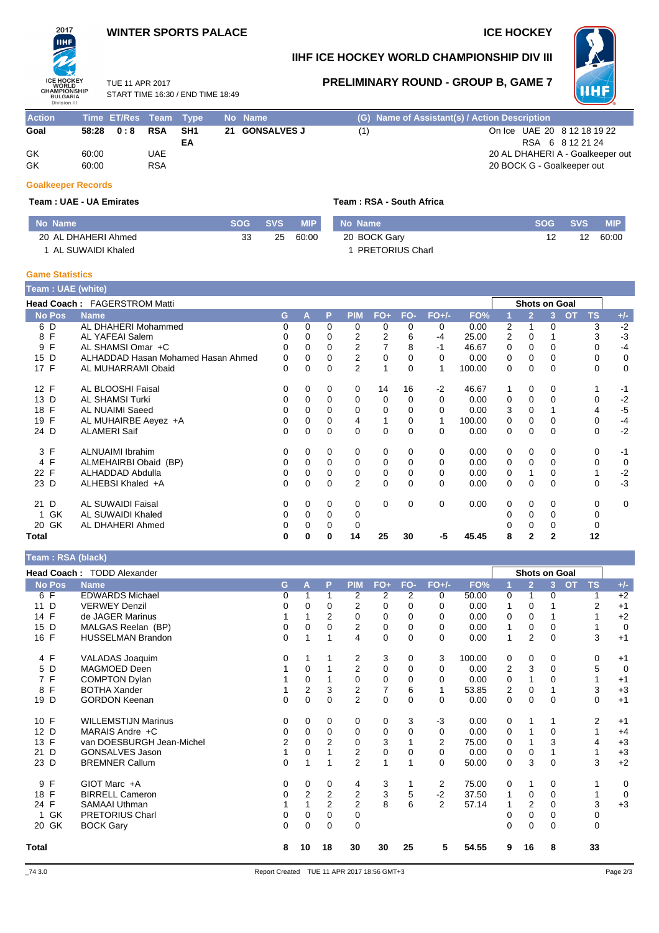#### **WINTER SPORTS PALACE ICE HOCKEY**

# **IIHF** ICE HOCKEY<br>WORLD<br>CHAMPIONSHIP<br>BULGARIA<br>Division III

2017

## **IIHF ICE HOCKEY WORLD CHAMPIONSHIP DIV III**

TUE 11 APR 2017 START TIME 16:30 / END TIME 18:49

# **PRELIMINARY ROUND - GROUP B, GAME 7**



| <b>Action</b> |       | Time ET/Res Team Type |            |      | No Name        |     | (G) Name of Assistant(s) / Action Description |
|---------------|-------|-----------------------|------------|------|----------------|-----|-----------------------------------------------|
| Goal          | 58:28 | 0:8                   | RSA        | -SH1 | 21 GONSALVES J | (1) | On Ice UAE 20 8 12 18 19 22                   |
|               |       |                       |            | ΕA   |                |     | RSA 6 8 12 21 24                              |
| GK            | 60:00 |                       | UAE.       |      |                |     | 20 AL DHAHERI A - Goalkeeper out              |
| GK            | 60:00 |                       | <b>RSA</b> |      |                |     | 20 BOCK G - Goalkeeper out                    |

#### **Goalkeeper Records**

**Team : UAE - UA Emirates Team : RSA - South Africa**

| No Name             | <b>SOG</b> | <b>SVS</b> | <b>MIP</b> | No Name                | <b>SOG</b> | <b>SVS</b> | <b>MIP</b> |
|---------------------|------------|------------|------------|------------------------|------------|------------|------------|
| 20 AL DHAHERI Ahmed | 33         | 25         | 60:00      | 20 BOCK Gary           |            | 12         | 60:00      |
| 1 AL SUWAIDI Khaled |            |            |            | <b>PRETORIUS Charl</b> |            |            |            |

#### **Game Statistics**

| <b>Team: UAE (white)</b> |                                     |    |          |          |            |             |          |          |        |                |                |                      |                        |       |
|--------------------------|-------------------------------------|----|----------|----------|------------|-------------|----------|----------|--------|----------------|----------------|----------------------|------------------------|-------|
|                          | <b>Head Coach: FAGERSTROM Matti</b> |    |          |          |            |             |          |          |        |                |                | <b>Shots on Goal</b> |                        |       |
| <b>No Pos</b>            | <b>Name</b>                         | G. | А        | P        | <b>PIM</b> | $FO+$       | FO-      | $FO+/-$  | FO%    |                | $\overline{2}$ | 3.                   | <b>OT</b><br><b>TS</b> | $+/-$ |
| 6 D                      | AL DHAHERI Mohammed                 | 0  | 0        | 0        | 0          | 0           | 0        | 0        | 0.00   | 2              |                | 0                    | 3                      | $-2$  |
| 8 F                      | AL YAFEAI Salem                     | 0  | 0        | 0        | 2          | 2           | 6        | -4       | 25.00  | $\overline{2}$ | 0              |                      | 3                      | $-3$  |
| F<br>9                   | AL SHAMSI Omar +C                   | 0  |          | 0        | 2          |             | 8        | $-1$     | 46.67  | 0              | 0              | 0                    |                        | $-4$  |
| 15 D                     | ALHADDAD Hasan Mohamed Hasan Ahmed  | 0  | $\Omega$ | 0        | 2          | 0           |          | $\Omega$ | 0.00   | 0              | 0              | 0                    | 0                      | 0     |
| 17 F                     | AL MUHARRAMI Obaid                  | 0  | $\Omega$ | $\Omega$ | 2          |             | $\Omega$ | 1        | 100.00 | 0              | 0              | $\Omega$             | $\Omega$               | 0     |
| 12 F                     | <b>AL BLOOSHI Faisal</b>            | 0  | 0        | 0        | 0          | 14          | 16       | $-2$     | 46.67  |                | $\Omega$       | 0                    |                        | -1    |
| 13 D                     | <b>AL SHAMSI Turki</b>              | 0  | 0        | 0        | 0          | 0           | 0        | $\Omega$ | 0.00   | 0              | 0              | 0                    | $\Omega$               | $-2$  |
| 18 F                     | AL NUAIMI Saeed                     |    | $\Omega$ | 0        | 0          | $\Omega$    | $\Omega$ | $\Omega$ | 0.00   | 3              | $\Omega$       |                      | 4                      | $-5$  |
| 19 F                     | AL MUHAIRBE Aeyez +A                | 0  | 0        | 0        | 4          |             | 0        |          | 100.00 | 0              | 0              | 0                    | 0                      | $-4$  |
| 24 D                     | <b>ALAMERI Saif</b>                 | 0  | $\Omega$ | 0        | $\Omega$   | $\mathbf 0$ | $\Omega$ | $\Omega$ | 0.00   | 0              | $\Omega$       | $\Omega$             | 0                      | $-2$  |
| 3 F                      | <b>ALNUAIMI Ibrahim</b>             | 0  | 0        | 0        | 0          | 0           | $\Omega$ | 0        | 0.00   | 0              | $\Omega$       | 0                    | $\Omega$               | $-1$  |
| 4 F                      | ALMEHAIRBI Obaid (BP)               | 0  | $\Omega$ | $\Omega$ | 0          | 0           | $\Omega$ | 0        | 0.00   | 0              | 0              | 0                    | $\Omega$               | 0     |
| 22 F                     | ALHADDAD Abdulla                    | 0  | $\Omega$ | 0        | 0          | 0           | $\Omega$ | 0        | 0.00   | 0              |                | 0                    |                        | $-2$  |
| 23 D                     | ALHEBSI Khaled +A                   | 0  | $\Omega$ | 0        | 2          | $\mathbf 0$ | $\Omega$ | $\Omega$ | 0.00   | 0              | 0              | $\Omega$             | $\Omega$               | $-3$  |
| 21 D                     | <b>AL SUWAIDI Faisal</b>            | 0  | $\Omega$ | $\Omega$ | 0          | 0           | 0        | 0        | 0.00   | 0              | $\Omega$       | 0                    | $\Omega$               | 0     |
| 1 GK                     | AL SUWAIDI Khaled                   | 0  | $\Omega$ | $\Omega$ | 0          |             |          |          |        |                | $\Omega$       | 0                    | 0                      |       |
| 20 GK                    | AL DHAHERI Ahmed                    | 0  | 0        | 0        | 0          |             |          |          |        |                | 0              | 0                    | 0                      |       |
| Total                    |                                     | 0  | 0        | 0        | 14         | 25          | 30       | -5       | 45.45  | 8              | 2              | $\overline{2}$       | 12                     |       |

#### **Team : RSA (black)**

| Team: RSA (Diack)  |                            |    |                |                |                         |                |          |          |        |                |                |               |                        |                |
|--------------------|----------------------------|----|----------------|----------------|-------------------------|----------------|----------|----------|--------|----------------|----------------|---------------|------------------------|----------------|
|                    | Head Coach: TODD Alexander |    |                |                |                         |                |          |          |        |                |                | Shots on Goal |                        |                |
| <b>No Pos</b>      | <b>Name</b>                | G. | A              | P              | <b>PIM</b>              | FO+            | FO-      | $FO+/-$  | FO%    |                | $\overline{2}$ | 3             | <b>OT</b><br><b>TS</b> | $+/-$          |
| 6 F                | <b>EDWARDS Michael</b>     | 0  |                |                | 2                       | 2              | 2        | 0        | 50.00  | 0              | 1              | 0             |                        | $+2$           |
| D<br>11            | <b>VERWEY Denzil</b>       | 0  | 0              | 0              | $\overline{2}$          | 0              | 0        | $\Omega$ | 0.00   |                | 0              |               | 2                      | $+1$           |
| $\mathsf{F}$<br>14 | de JAGER Marinus           |    |                | $\overline{2}$ | 0                       | 0              | 0        | $\Omega$ | 0.00   | 0              | $\Omega$       |               |                        | $+2$           |
| 15 D               | MALGAS Reelan (BP)         | 0  | 0              | 0              | $\overline{2}$          | 0              | 0        | $\Omega$ | 0.00   |                | 0              | 0             |                        | $\mathbf 0$    |
| 16 F               | <b>HUSSELMAN Brandon</b>   | 0  |                |                | 4                       | 0              | 0        | $\Omega$ | 0.00   | 1              | $\overline{2}$ | $\Omega$      | 3                      | $+1$           |
| 4 F                | VALADAS Joaquim            | 0  |                |                | 2                       | 3              | 0        | 3        | 100.00 | 0              | 0              | 0             | 0                      | $+1$           |
| 5 D                | MAGMOED Deen               |    | 0              |                | $\overline{2}$          | $\mathbf 0$    | 0        | 0        | 0.00   | $\overline{2}$ | 3              | $\Omega$      | 5                      | $\overline{0}$ |
| $\mathsf{F}$<br>7  | <b>COMPTON Dylan</b>       |    | 0              |                | 0                       | $\mathbf 0$    | $\Omega$ | $\Omega$ | 0.00   | 0              | 1              | 0             |                        | $+1$           |
| F<br>8             | <b>BOTHA Xander</b>        |    | $\overline{2}$ | 3              | $\overline{\mathbf{c}}$ | $\overline{7}$ | 6        | 1        | 53.85  | 2              | 0              |               | 3                      | $+3$           |
| 19 D               | <b>GORDON Keenan</b>       | 0  | 0              | $\Omega$       | $\overline{2}$          | $\mathbf 0$    | $\Omega$ | $\Omega$ | 0.00   | 0              | $\Omega$       | $\Omega$      | $\mathbf 0$            | $+1$           |
| 10 F               | <b>WILLEMSTIJN Marinus</b> | 0  | 0              | 0              | 0                       | 0              | 3        | $-3$     | 0.00   | 0              | 1              |               | 2                      | $+1$           |
| 12 D               | MARAIS Andre +C            | 0  | $\Omega$       | $\Omega$       | 0                       | 0              | 0        | $\Omega$ | 0.00   | 0              |                | $\Omega$      |                        | $+4$           |
| 13 F               | van DOESBURGH Jean-Michel  | 2  | 0              | $\overline{2}$ | $\mathbf 0$             | 3              |          | 2        | 75.00  | 0              |                | 3             | 4                      | $+3$           |
| D<br>21            | <b>GONSALVES Jason</b>     |    | 0              |                | 2                       | $\mathbf 0$    | 0        | $\Omega$ | 0.00   | 0              | 0              |               |                        | $+3$           |
| 23 D               | <b>BREMNER Callum</b>      | 0  |                |                | $\overline{2}$          | $\mathbf{1}$   |          | $\Omega$ | 50.00  | 0              | 3              | $\Omega$      | 3                      | $+2$           |
| $\mathsf{F}$<br>9  | GIOT Marc +A               | 0  | $\Omega$       | $\Omega$       | 4                       | 3              |          | 2        | 75.00  | 0              | 1              | 0             |                        | 0              |
| 18 F               | <b>BIRRELL Cameron</b>     | 0  | 2              | 2              | 2                       | $\mathsf 3$    | 5        | $-2$     | 37.50  |                | 0              | 0             |                        | $\overline{0}$ |
| 24 F               | <b>SAMAAI Uthman</b>       |    |                | $\overline{2}$ | $\overline{2}$          | 8              | 6        | 2        | 57.14  |                | $\overline{2}$ | $\Omega$      | 3                      | $+3$           |
| GK                 | <b>PRETORIUS Charl</b>     | 0  | 0              | 0              | 0                       |                |          |          |        | 0              | 0              | 0             | 0                      |                |
| 20 GK              | <b>BOCK Gary</b>           | 0  | $\Omega$       | $\Omega$       | $\Omega$                |                |          |          |        | 0              | $\Omega$       | $\Omega$      | $\Omega$               |                |
| <b>Total</b>       |                            | 8  | 10             | 18             | 30                      | 30             | 25       | 5        | 54.55  | 9              | 16             | 8             | 33                     |                |